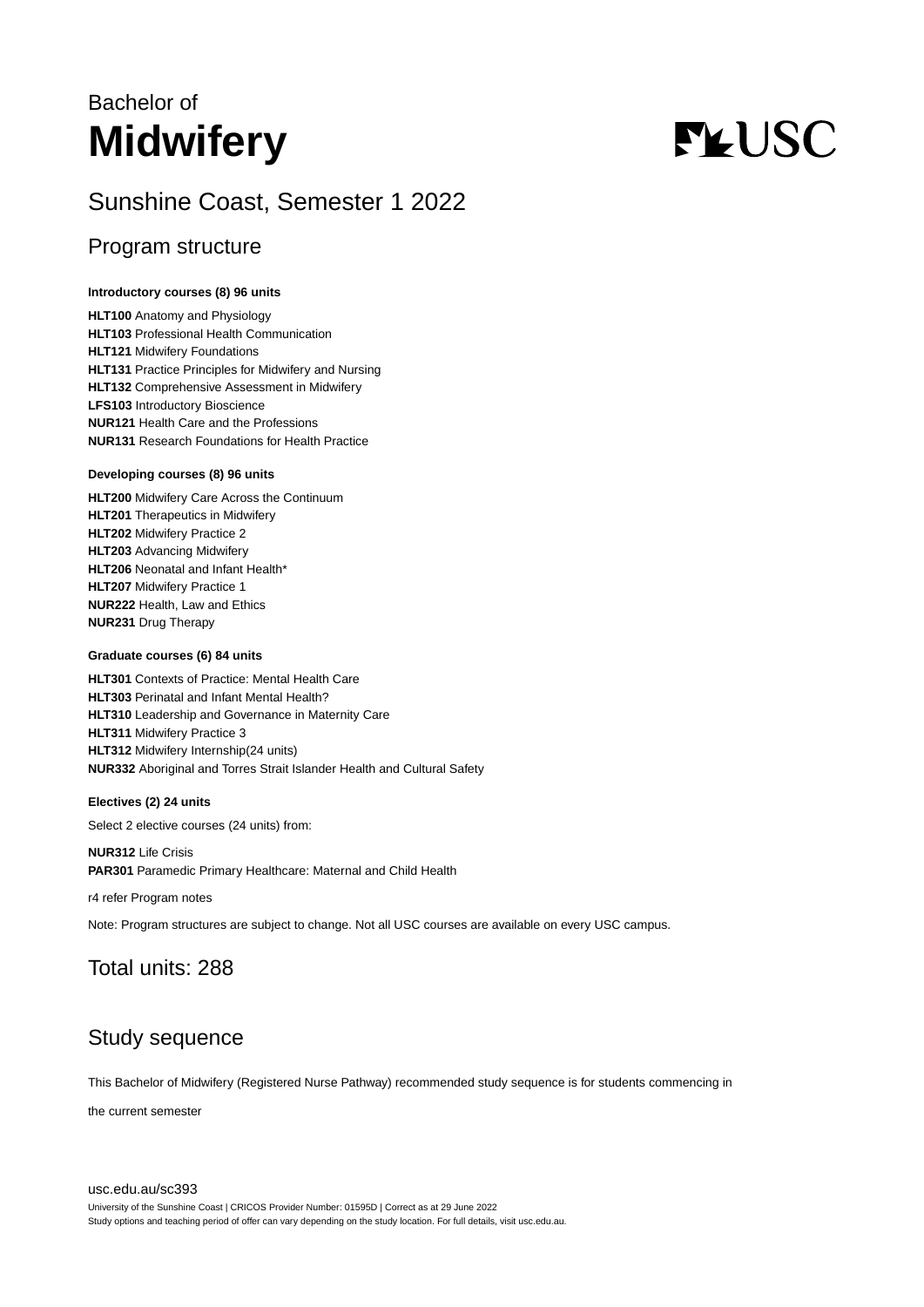# Bachelor of **Midwifery**

# **FLUSC**

# Sunshine Coast, Semester 1 2022

# Program structure

# **Introductory courses (8) 96 units**

**HLT100** Anatomy and Physiology **HLT103** Professional Health Communication **HLT121** Midwifery Foundations **HLT131** Practice Principles for Midwifery and Nursing **HLT132** Comprehensive Assessment in Midwifery **LFS103** Introductory Bioscience **NUR121** Health Care and the Professions **NUR131** Research Foundations for Health Practice

#### **Developing courses (8) 96 units**

**HLT200** Midwifery Care Across the Continuum **HLT201** Therapeutics in Midwifery **HLT202** Midwifery Practice 2 **HLT203** Advancing Midwifery **HLT206** Neonatal and Infant Health\* **HLT207** Midwifery Practice 1 **NUR222** Health, Law and Ethics **NUR231** Drug Therapy

## **Graduate courses (6) 84 units**

**HLT301** Contexts of Practice: Mental Health Care **HLT303** Perinatal and Infant Mental Health? **HLT310** Leadership and Governance in Maternity Care **HLT311** Midwifery Practice 3 **HLT312** Midwifery Internship(24 units) **NUR332** Aboriginal and Torres Strait Islander Health and Cultural Safety

## **Electives (2) 24 units**

Select 2 elective courses (24 units) from:

**NUR312** Life Crisis **PAR301** Paramedic Primary Healthcare: Maternal and Child Health

r4 refer Program notes

Note: Program structures are subject to change. Not all USC courses are available on every USC campus.

# Total units: 288

# Study sequence

This Bachelor of Midwifery (Registered Nurse Pathway) recommended study sequence is for students commencing in

the current semester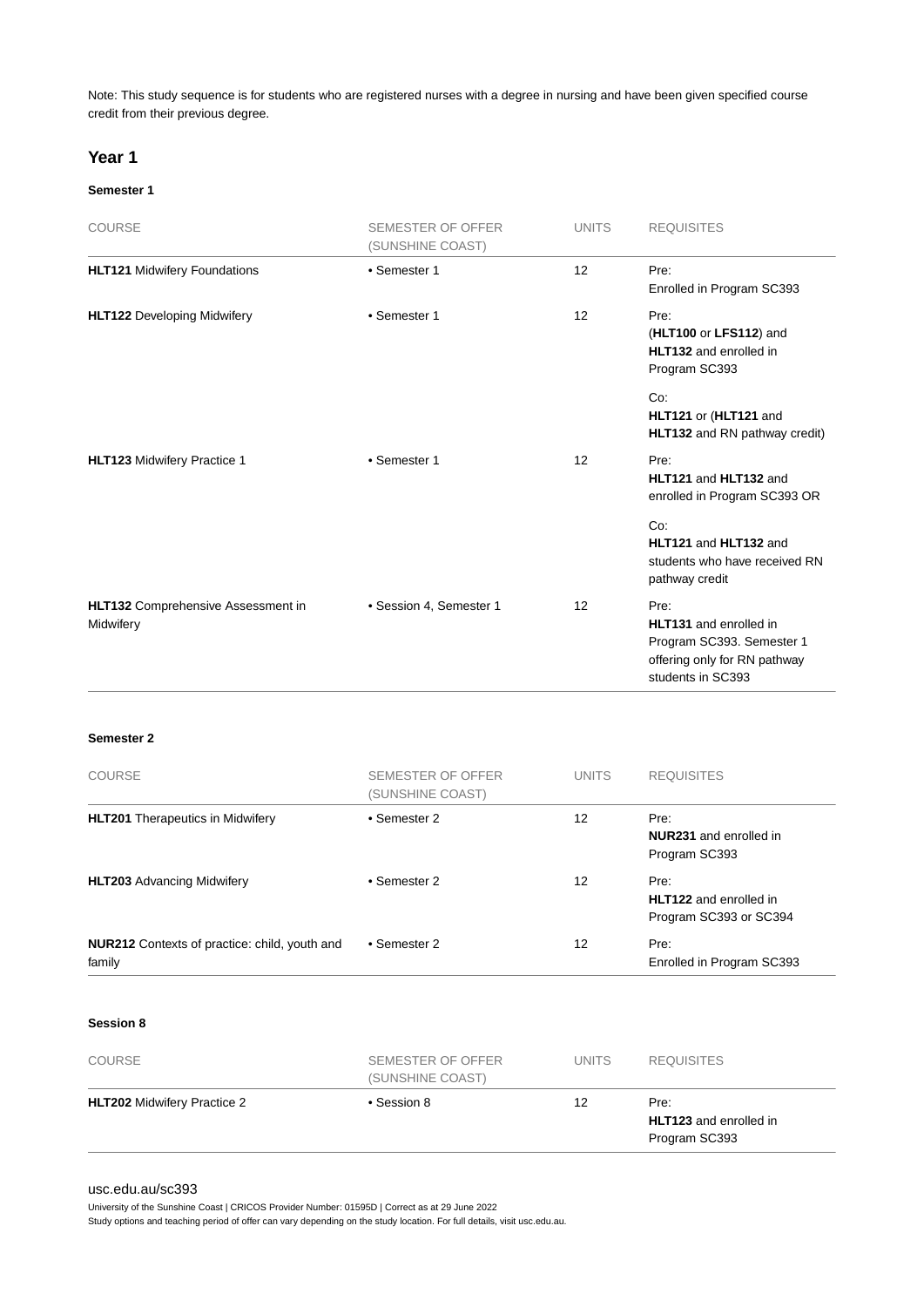Note: This study sequence is for students who are registered nurses with a degree in nursing and have been given specified course credit from their previous degree.

# **Year 1**

#### **Semester 1**

| <b>COURSE</b>                                   | <b>SEMESTER OF OFFER</b><br>(SUNSHINE COAST) | <b>UNITS</b> | <b>REQUISITES</b>                                                                                                       |
|-------------------------------------------------|----------------------------------------------|--------------|-------------------------------------------------------------------------------------------------------------------------|
| <b>HLT121 Midwifery Foundations</b>             | • Semester 1                                 | 12           | Pre:<br>Enrolled in Program SC393                                                                                       |
| <b>HLT122 Developing Midwifery</b>              | • Semester 1                                 | 12           | Pre:<br>(HLT100 or LFS112) and<br>HLT132 and enrolled in<br>Program SC393                                               |
|                                                 |                                              |              | Co:<br>HLT121 or (HLT121 and<br>HLT132 and RN pathway credit)                                                           |
| HLT123 Midwifery Practice 1                     | • Semester 1                                 | 12           | Pre:<br>HLT121 and HLT132 and<br>enrolled in Program SC393 OR                                                           |
|                                                 |                                              |              | Co:<br>HLT121 and HLT132 and<br>students who have received RN<br>pathway credit                                         |
| HLT132 Comprehensive Assessment in<br>Midwifery | • Session 4, Semester 1                      | 12           | Pre:<br><b>HLT131</b> and enrolled in<br>Program SC393. Semester 1<br>offering only for RN pathway<br>students in SC393 |

#### **Semester 2**

| <b>COURSE</b>                                           | <b>SEMESTER OF OFFER</b><br>(SUNSHINE COAST) | <b>UNITS</b> | <b>REQUISITES</b>                                               |
|---------------------------------------------------------|----------------------------------------------|--------------|-----------------------------------------------------------------|
| <b>HLT201</b> Therapeutics in Midwifery                 | • Semester 2                                 | 12           | Pre:<br><b>NUR231</b> and enrolled in<br>Program SC393          |
| <b>HLT203</b> Advancing Midwifery                       | • Semester 2                                 | 12           | Pre:<br><b>HLT122</b> and enrolled in<br>Program SC393 or SC394 |
| NUR212 Contexts of practice: child, youth and<br>family | • Semester 2                                 | 12           | Pre:<br>Enrolled in Program SC393                               |

#### **Session 8**

| <b>COURSE</b>                      | SEMESTER OF OFFER<br>(SUNSHINE COAST) | <b>UNITS</b> | <b>REQUISITES</b>                                      |
|------------------------------------|---------------------------------------|--------------|--------------------------------------------------------|
| <b>HLT202</b> Midwifery Practice 2 | • Session 8                           | 12           | Pre:<br><b>HLT123</b> and enrolled in<br>Program SC393 |

#### [usc.edu.au/sc393](https://www.usc.edu.au/sc393)

University of the Sunshine Coast | CRICOS Provider Number: 01595D | Correct as at 29 June 2022

Study options and teaching period of offer can vary depending on the study location. For full details, visit usc.edu.au.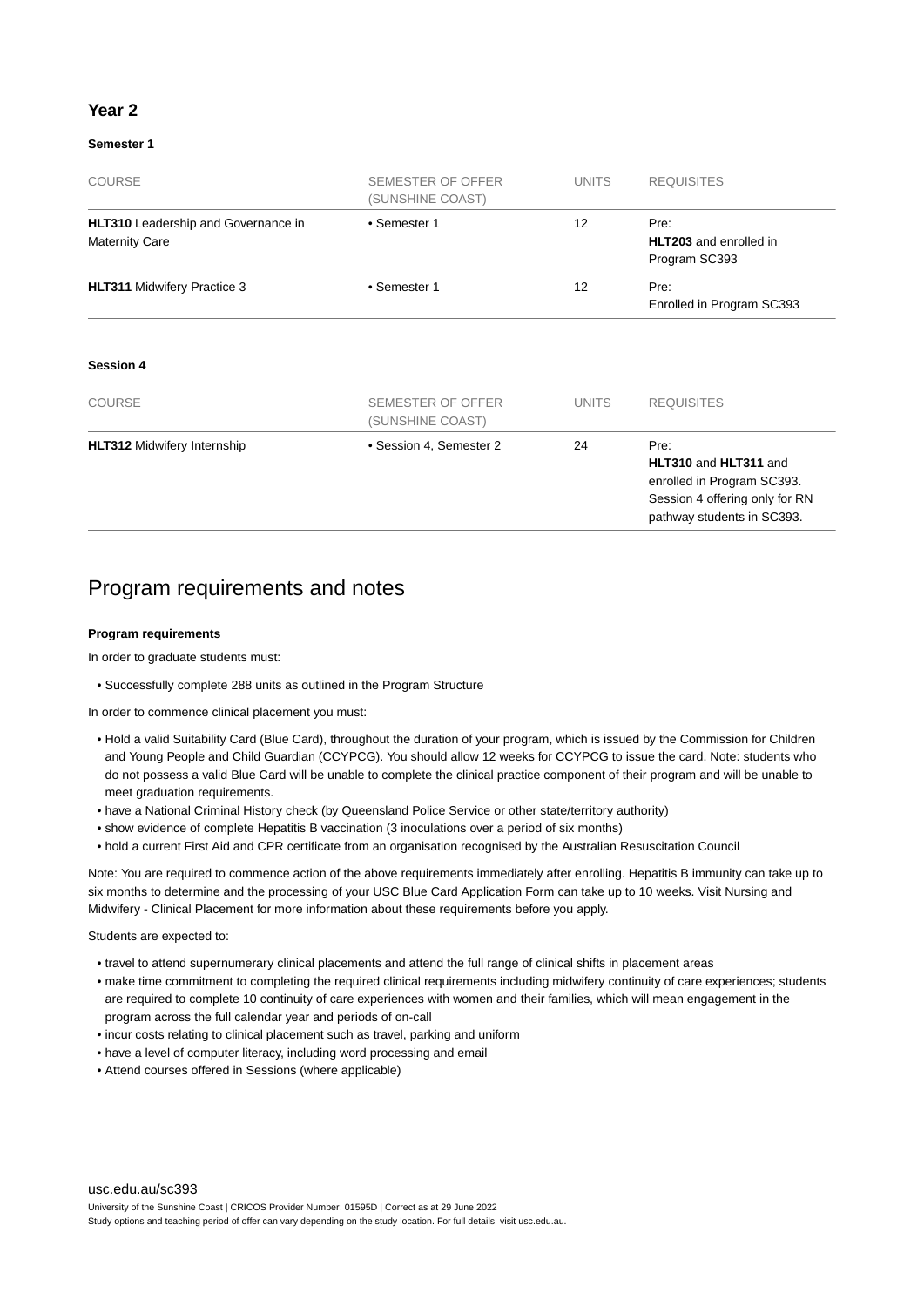# **Year 2**

# **Semester 1**

| <b>COURSE</b>                                                       | SEMESTER OF OFFER<br>(SUNSHINE COAST)        | <b>UNITS</b>    | <b>REQUISITES</b>                                                                                                           |
|---------------------------------------------------------------------|----------------------------------------------|-----------------|-----------------------------------------------------------------------------------------------------------------------------|
| <b>HLT310</b> Leadership and Governance in<br><b>Maternity Care</b> | • Semester 1                                 | 12              | Pre:<br><b>HLT203</b> and enrolled in<br>Program SC393                                                                      |
| <b>HLT311 Midwifery Practice 3</b>                                  | • Semester 1                                 | 12 <sup>2</sup> | Pre:<br>Enrolled in Program SC393                                                                                           |
| <b>Session 4</b>                                                    |                                              |                 |                                                                                                                             |
| <b>COURSE</b>                                                       | <b>SEMESTER OF OFFER</b><br>(SUNSHINE COAST) | <b>UNITS</b>    | <b>REQUISITES</b>                                                                                                           |
| <b>HLT312 Midwifery Internship</b>                                  | • Session 4, Semester 2                      | 24              | Pre:<br>HLT310 and HLT311 and<br>enrolled in Program SC393.<br>Session 4 offering only for RN<br>pathway students in SC393. |

# Program requirements and notes

#### **Program requirements**

In order to graduate students must:

• Successfully complete 288 units as outlined in the Program Structure

In order to commence clinical placement you must:

- Hold a valid Suitability Card (Blue Card), throughout the duration of your program, which is issued by the Commission for Children and Young People and Child Guardian (CCYPCG). You should allow 12 weeks for CCYPCG to issue the card. Note: students who do not possess a valid Blue Card will be unable to complete the clinical practice component of their program and will be unable to meet graduation requirements.
- have a National Criminal History check (by Queensland Police Service or other state/territory authority)
- show evidence of complete Hepatitis B vaccination (3 inoculations over a period of six months)
- hold a current First Aid and CPR certificate from an organisation recognised by the Australian Resuscitation Council

Note: You are required to commence action of the above requirements immediately after enrolling. Hepatitis B immunity can take up to six months to determine and the processing of your USC Blue Card Application Form can take up to 10 weeks. Visit Nursing and Midwifery - Clinical Placement for more information about these requirements before you apply.

Students are expected to:

- travel to attend supernumerary clinical placements and attend the full range of clinical shifts in placement areas
- make time commitment to completing the required clinical requirements including midwifery continuity of care experiences; students are required to complete 10 continuity of care experiences with women and their families, which will mean engagement in the program across the full calendar year and periods of on-call
- incur costs relating to clinical placement such as travel, parking and uniform
- have a level of computer literacy, including word processing and email
- Attend courses offered in Sessions (where applicable)